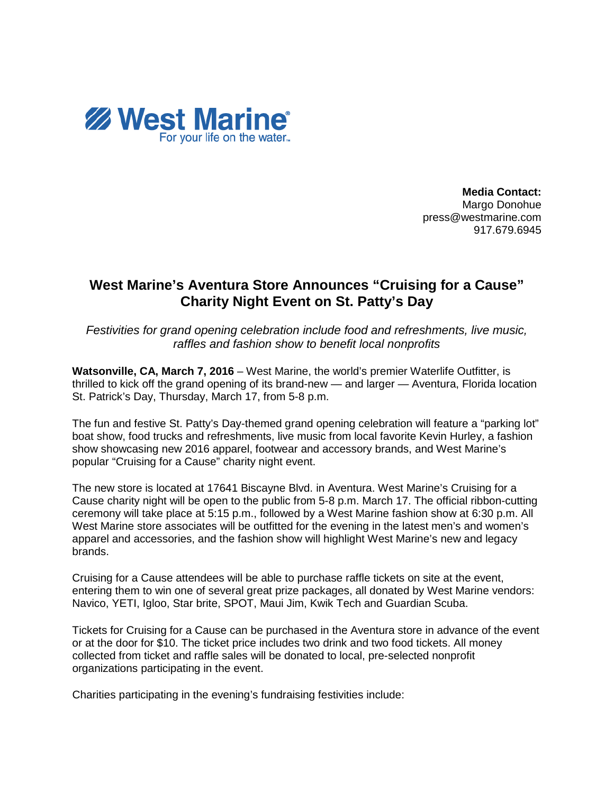

**Media Contact:** Margo Donohue press@westmarine.com 917.679.6945

## **West Marine's Aventura Store Announces "Cruising for a Cause" Charity Night Event on St. Patty's Day**

*Festivities for grand opening celebration include food and refreshments, live music, raffles and fashion show to benefit local nonprofits*

**Watsonville, CA, March 7, 2016** – West Marine, the world's premier Waterlife Outfitter, is thrilled to kick off the grand opening of its brand-new — and larger — Aventura, Florida location St. Patrick's Day, Thursday, March 17, from 5-8 p.m.

The fun and festive St. Patty's Day-themed grand opening celebration will feature a "parking lot" boat show, food trucks and refreshments, live music from local favorite Kevin Hurley, a fashion show showcasing new 2016 apparel, footwear and accessory brands, and West Marine's popular "Cruising for a Cause" charity night event.

The new store is located at 17641 Biscayne Blvd. in Aventura. West Marine's Cruising for a Cause charity night will be open to the public from 5-8 p.m. March 17. The official ribbon-cutting ceremony will take place at 5:15 p.m., followed by a West Marine fashion show at 6:30 p.m. All West Marine store associates will be outfitted for the evening in the latest men's and women's apparel and accessories, and the fashion show will highlight West Marine's new and legacy brands.

Cruising for a Cause attendees will be able to purchase raffle tickets on site at the event, entering them to win one of several great prize packages, all donated by West Marine vendors: Navico, YETI, Igloo, Star brite, SPOT, Maui Jim, Kwik Tech and Guardian Scuba.

Tickets for Cruising for a Cause can be purchased in the Aventura store in advance of the event or at the door for \$10. The ticket price includes two drink and two food tickets. All money collected from ticket and raffle sales will be donated to local, pre-selected nonprofit organizations participating in the event.

Charities participating in the evening's fundraising festivities include: